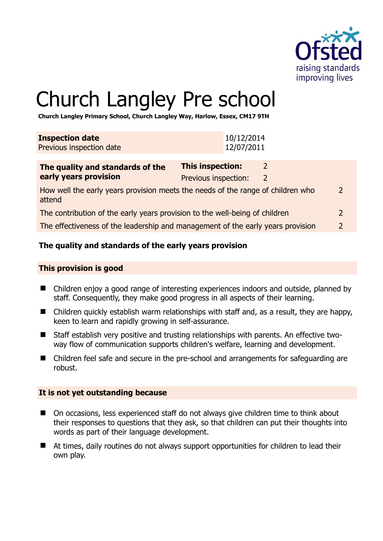

# Church Langley Pre school

**Church Langley Primary School, Church Langley Way, Harlow, Essex, CM17 9TH** 

| <b>Inspection date</b>   | 10/12/2014 |
|--------------------------|------------|
| Previous inspection date | 12/07/2011 |
|                          |            |

| The quality and standards of the                                                          | <b>This inspection:</b> |   |               |
|-------------------------------------------------------------------------------------------|-------------------------|---|---------------|
| early years provision                                                                     | Previous inspection:    | 2 |               |
| How well the early years provision meets the needs of the range of children who<br>attend |                         |   | $\mathcal{P}$ |
| The contribution of the early years provision to the well-being of children               |                         |   | $\mathcal{L}$ |
| The effectiveness of the leadership and management of the early years provision           |                         |   |               |

# **The quality and standards of the early years provision**

#### **This provision is good**

- Children enjoy a good range of interesting experiences indoors and outside, planned by staff. Consequently, they make good progress in all aspects of their learning.
- Children quickly establish warm relationships with staff and, as a result, they are happy, keen to learn and rapidly growing in self-assurance.
- Staff establish very positive and trusting relationships with parents. An effective twoway flow of communication supports children's welfare, learning and development.
- Children feel safe and secure in the pre-school and arrangements for safeguarding are robust.

#### **It is not yet outstanding because**

- On occasions, less experienced staff do not always give children time to think about their responses to questions that they ask, so that children can put their thoughts into words as part of their language development.
- At times, daily routines do not always support opportunities for children to lead their own play.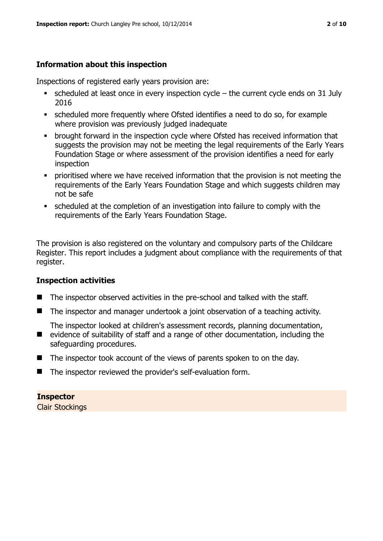### **Information about this inspection**

Inspections of registered early years provision are:

- scheduled at least once in every inspection cycle the current cycle ends on 31 July 2016
- scheduled more frequently where Ofsted identifies a need to do so, for example where provision was previously judged inadequate
- **•** brought forward in the inspection cycle where Ofsted has received information that suggests the provision may not be meeting the legal requirements of the Early Years Foundation Stage or where assessment of the provision identifies a need for early inspection
- **•** prioritised where we have received information that the provision is not meeting the requirements of the Early Years Foundation Stage and which suggests children may not be safe
- scheduled at the completion of an investigation into failure to comply with the requirements of the Early Years Foundation Stage.

The provision is also registered on the voluntary and compulsory parts of the Childcare Register. This report includes a judgment about compliance with the requirements of that register.

#### **Inspection activities**

- The inspector observed activities in the pre-school and talked with the staff.
- The inspector and manager undertook a joint observation of a teaching activity.

The inspector looked at children's assessment records, planning documentation,

- evidence of suitability of staff and a range of other documentation, including the safeguarding procedures.
- $\blacksquare$  The inspector took account of the views of parents spoken to on the day.
- The inspector reviewed the provider's self-evaluation form.

#### **Inspector**

Clair Stockings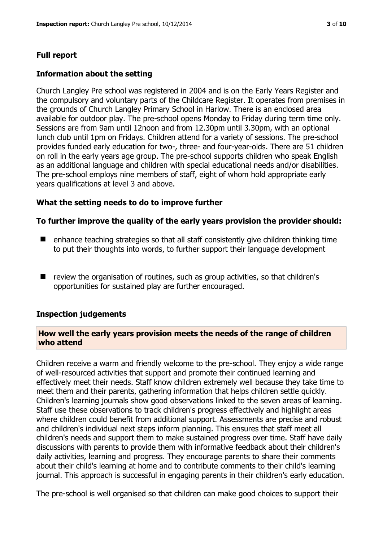# **Full report**

#### **Information about the setting**

Church Langley Pre school was registered in 2004 and is on the Early Years Register and the compulsory and voluntary parts of the Childcare Register. It operates from premises in the grounds of Church Langley Primary School in Harlow. There is an enclosed area available for outdoor play. The pre-school opens Monday to Friday during term time only. Sessions are from 9am until 12noon and from 12.30pm until 3.30pm, with an optional lunch club until 1pm on Fridays. Children attend for a variety of sessions. The pre-school provides funded early education for two-, three- and four-year-olds. There are 51 children on roll in the early years age group. The pre-school supports children who speak English as an additional language and children with special educational needs and/or disabilities. The pre-school employs nine members of staff, eight of whom hold appropriate early years qualifications at level 3 and above.

#### **What the setting needs to do to improve further**

#### **To further improve the quality of the early years provision the provider should:**

- $\blacksquare$  enhance teaching strategies so that all staff consistently give children thinking time to put their thoughts into words, to further support their language development
- review the organisation of routines, such as group activities, so that children's opportunities for sustained play are further encouraged.

#### **Inspection judgements**

#### **How well the early years provision meets the needs of the range of children who attend**

Children receive a warm and friendly welcome to the pre-school. They enjoy a wide range of well-resourced activities that support and promote their continued learning and effectively meet their needs. Staff know children extremely well because they take time to meet them and their parents, gathering information that helps children settle quickly. Children's learning journals show good observations linked to the seven areas of learning. Staff use these observations to track children's progress effectively and highlight areas where children could benefit from additional support. Assessments are precise and robust and children's individual next steps inform planning. This ensures that staff meet all children's needs and support them to make sustained progress over time. Staff have daily discussions with parents to provide them with informative feedback about their children's daily activities, learning and progress. They encourage parents to share their comments about their child's learning at home and to contribute comments to their child's learning journal. This approach is successful in engaging parents in their children's early education.

The pre-school is well organised so that children can make good choices to support their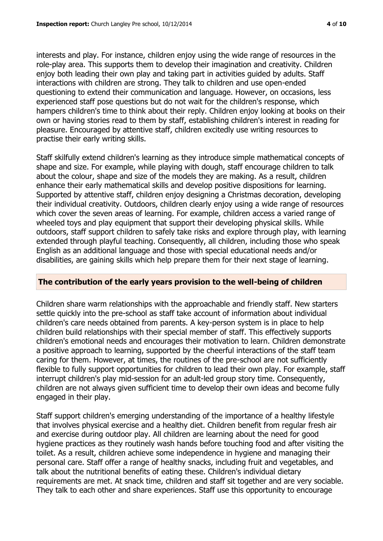interests and play. For instance, children enjoy using the wide range of resources in the role-play area. This supports them to develop their imagination and creativity. Children enjoy both leading their own play and taking part in activities guided by adults. Staff interactions with children are strong. They talk to children and use open-ended questioning to extend their communication and language. However, on occasions, less experienced staff pose questions but do not wait for the children's response, which hampers children's time to think about their reply. Children enjoy looking at books on their own or having stories read to them by staff, establishing children's interest in reading for pleasure. Encouraged by attentive staff, children excitedly use writing resources to practise their early writing skills.

Staff skilfully extend children's learning as they introduce simple mathematical concepts of shape and size. For example, while playing with dough, staff encourage children to talk about the colour, shape and size of the models they are making. As a result, children enhance their early mathematical skills and develop positive dispositions for learning. Supported by attentive staff, children enjoy designing a Christmas decoration, developing their individual creativity. Outdoors, children clearly enjoy using a wide range of resources which cover the seven areas of learning. For example, children access a varied range of wheeled toys and play equipment that support their developing physical skills. While outdoors, staff support children to safely take risks and explore through play, with learning extended through playful teaching. Consequently, all children, including those who speak English as an additional language and those with special educational needs and/or disabilities, are gaining skills which help prepare them for their next stage of learning.

# **The contribution of the early years provision to the well-being of children**

Children share warm relationships with the approachable and friendly staff. New starters settle quickly into the pre-school as staff take account of information about individual children's care needs obtained from parents. A key-person system is in place to help children build relationships with their special member of staff. This effectively supports children's emotional needs and encourages their motivation to learn. Children demonstrate a positive approach to learning, supported by the cheerful interactions of the staff team caring for them. However, at times, the routines of the pre-school are not sufficiently flexible to fully support opportunities for children to lead their own play. For example, staff interrupt children's play mid-session for an adult-led group story time. Consequently, children are not always given sufficient time to develop their own ideas and become fully engaged in their play.

Staff support children's emerging understanding of the importance of a healthy lifestyle that involves physical exercise and a healthy diet. Children benefit from regular fresh air and exercise during outdoor play. All children are learning about the need for good hygiene practices as they routinely wash hands before touching food and after visiting the toilet. As a result, children achieve some independence in hygiene and managing their personal care. Staff offer a range of healthy snacks, including fruit and vegetables, and talk about the nutritional benefits of eating these. Children's individual dietary requirements are met. At snack time, children and staff sit together and are very sociable. They talk to each other and share experiences. Staff use this opportunity to encourage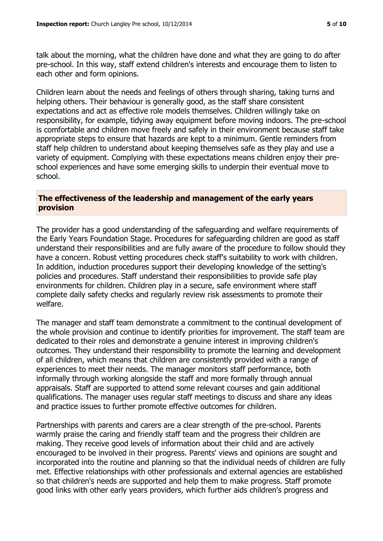talk about the morning, what the children have done and what they are going to do after pre-school. In this way, staff extend children's interests and encourage them to listen to each other and form opinions.

Children learn about the needs and feelings of others through sharing, taking turns and helping others. Their behaviour is generally good, as the staff share consistent expectations and act as effective role models themselves. Children willingly take on responsibility, for example, tidying away equipment before moving indoors. The pre-school is comfortable and children move freely and safely in their environment because staff take appropriate steps to ensure that hazards are kept to a minimum. Gentle reminders from staff help children to understand about keeping themselves safe as they play and use a variety of equipment. Complying with these expectations means children enjoy their preschool experiences and have some emerging skills to underpin their eventual move to school.

#### **The effectiveness of the leadership and management of the early years provision**

The provider has a good understanding of the safeguarding and welfare requirements of the Early Years Foundation Stage. Procedures for safeguarding children are good as staff understand their responsibilities and are fully aware of the procedure to follow should they have a concern. Robust vetting procedures check staff's suitability to work with children. In addition, induction procedures support their developing knowledge of the setting's policies and procedures. Staff understand their responsibilities to provide safe play environments for children. Children play in a secure, safe environment where staff complete daily safety checks and regularly review risk assessments to promote their welfare.

The manager and staff team demonstrate a commitment to the continual development of the whole provision and continue to identify priorities for improvement. The staff team are dedicated to their roles and demonstrate a genuine interest in improving children's outcomes. They understand their responsibility to promote the learning and development of all children, which means that children are consistently provided with a range of experiences to meet their needs. The manager monitors staff performance, both informally through working alongside the staff and more formally through annual appraisals. Staff are supported to attend some relevant courses and gain additional qualifications. The manager uses regular staff meetings to discuss and share any ideas and practice issues to further promote effective outcomes for children.

Partnerships with parents and carers are a clear strength of the pre-school. Parents warmly praise the caring and friendly staff team and the progress their children are making. They receive good levels of information about their child and are actively encouraged to be involved in their progress. Parents' views and opinions are sought and incorporated into the routine and planning so that the individual needs of children are fully met. Effective relationships with other professionals and external agencies are established so that children's needs are supported and help them to make progress. Staff promote good links with other early years providers, which further aids children's progress and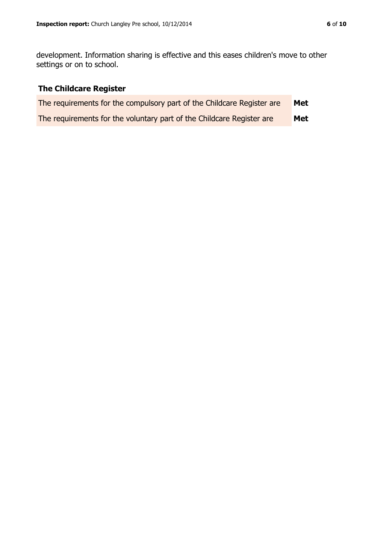development. Information sharing is effective and this eases children's move to other settings or on to school.

# **The Childcare Register**

| The requirements for the compulsory part of the Childcare Register are | Met |
|------------------------------------------------------------------------|-----|
| The requirements for the voluntary part of the Childcare Register are  | Met |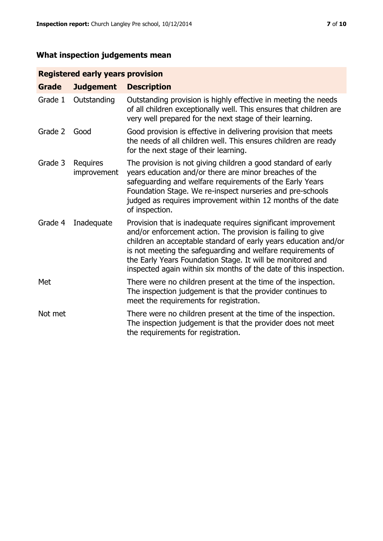# **What inspection judgements mean**

# **Registered early years provision**

| <b>Grade</b> | <b>Judgement</b>        | <b>Description</b>                                                                                                                                                                                                                                                                                                                                                                                |
|--------------|-------------------------|---------------------------------------------------------------------------------------------------------------------------------------------------------------------------------------------------------------------------------------------------------------------------------------------------------------------------------------------------------------------------------------------------|
| Grade 1      | Outstanding             | Outstanding provision is highly effective in meeting the needs<br>of all children exceptionally well. This ensures that children are<br>very well prepared for the next stage of their learning.                                                                                                                                                                                                  |
| Grade 2      | Good                    | Good provision is effective in delivering provision that meets<br>the needs of all children well. This ensures children are ready<br>for the next stage of their learning.                                                                                                                                                                                                                        |
| Grade 3      | Requires<br>improvement | The provision is not giving children a good standard of early<br>years education and/or there are minor breaches of the<br>safeguarding and welfare requirements of the Early Years<br>Foundation Stage. We re-inspect nurseries and pre-schools<br>judged as requires improvement within 12 months of the date<br>of inspection.                                                                 |
| Grade 4      | Inadequate              | Provision that is inadequate requires significant improvement<br>and/or enforcement action. The provision is failing to give<br>children an acceptable standard of early years education and/or<br>is not meeting the safeguarding and welfare requirements of<br>the Early Years Foundation Stage. It will be monitored and<br>inspected again within six months of the date of this inspection. |
| Met          |                         | There were no children present at the time of the inspection.<br>The inspection judgement is that the provider continues to<br>meet the requirements for registration.                                                                                                                                                                                                                            |
| Not met      |                         | There were no children present at the time of the inspection.<br>The inspection judgement is that the provider does not meet<br>the requirements for registration.                                                                                                                                                                                                                                |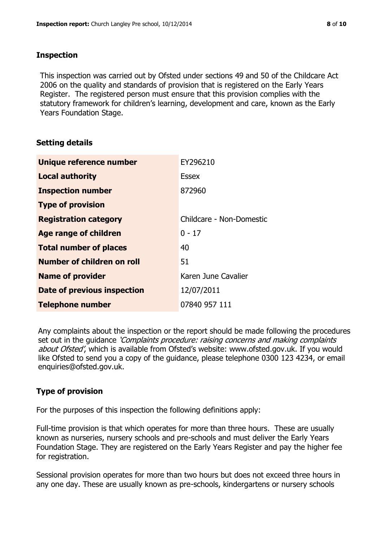#### **Inspection**

This inspection was carried out by Ofsted under sections 49 and 50 of the Childcare Act 2006 on the quality and standards of provision that is registered on the Early Years Register. The registered person must ensure that this provision complies with the statutory framework for children's learning, development and care, known as the Early Years Foundation Stage.

#### **Setting details**

| Unique reference number       | EY296210                 |
|-------------------------------|--------------------------|
| <b>Local authority</b>        | <b>Essex</b>             |
| <b>Inspection number</b>      | 872960                   |
| <b>Type of provision</b>      |                          |
| <b>Registration category</b>  | Childcare - Non-Domestic |
| <b>Age range of children</b>  | $0 - 17$                 |
| <b>Total number of places</b> | 40                       |
| Number of children on roll    | 51                       |
| <b>Name of provider</b>       | Karen June Cavalier      |
| Date of previous inspection   | 12/07/2011               |
| <b>Telephone number</b>       | 07840 957 111            |

Any complaints about the inspection or the report should be made following the procedures set out in the guidance *'Complaints procedure: raising concerns and making complaints* about Ofsted', which is available from Ofsted's website: www.ofsted.gov.uk. If you would like Ofsted to send you a copy of the guidance, please telephone 0300 123 4234, or email enquiries@ofsted.gov.uk.

# **Type of provision**

For the purposes of this inspection the following definitions apply:

Full-time provision is that which operates for more than three hours. These are usually known as nurseries, nursery schools and pre-schools and must deliver the Early Years Foundation Stage. They are registered on the Early Years Register and pay the higher fee for registration.

Sessional provision operates for more than two hours but does not exceed three hours in any one day. These are usually known as pre-schools, kindergartens or nursery schools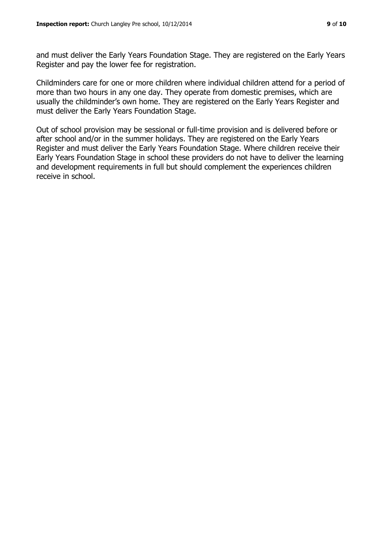and must deliver the Early Years Foundation Stage. They are registered on the Early Years Register and pay the lower fee for registration.

Childminders care for one or more children where individual children attend for a period of more than two hours in any one day. They operate from domestic premises, which are usually the childminder's own home. They are registered on the Early Years Register and must deliver the Early Years Foundation Stage.

Out of school provision may be sessional or full-time provision and is delivered before or after school and/or in the summer holidays. They are registered on the Early Years Register and must deliver the Early Years Foundation Stage. Where children receive their Early Years Foundation Stage in school these providers do not have to deliver the learning and development requirements in full but should complement the experiences children receive in school.